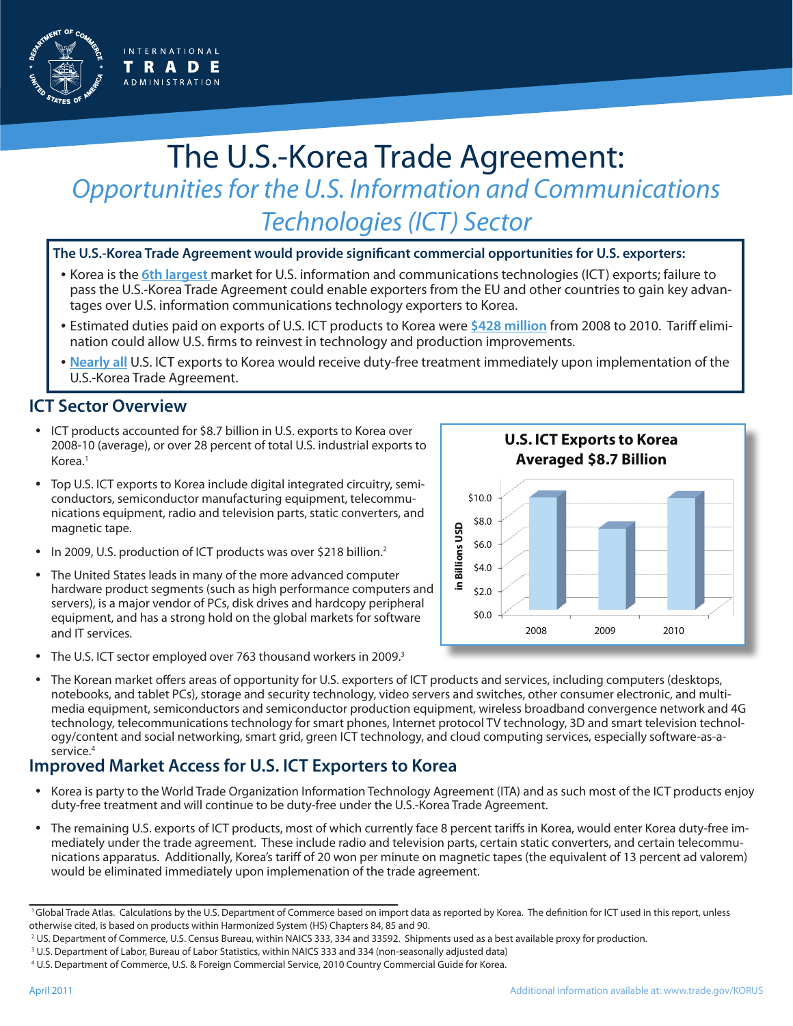

# The U.S.-Korea Trade Agreement: *Opportunities for the U.S. Information and Communications Technologies (ICT) Sector*

**The U.S.-Korea Trade Agreement would provide significant commercial opportunities for U.S. exporters:**

- Korea is the **6th largest** market for U.S. information and communications technologies (ICT) exports; failure to pass the U.S.-Korea Trade Agreement could enable exporters from the EU and other countries to gain key advantages over U.S. information communications technology exporters to Korea.
- Estimated duties paid on exports of U.S. ICT products to Korea were **\$428 million** from 2008 to 2010. Tariff elimination could allow U.S. firms to reinvest in technology and production improvements.
- **Nearly all** U.S. ICT exports to Korea would receive duty-free treatment immediately upon implementation of the U.S.-Korea Trade Agreement.

#### **ICT Sector Overview**

- ICT products accounted for \$8.7 billion in U.S. exports to Korea over 2008-10 (average), or over 28 percent of total U.S. industrial exports to Korea.<sup>1</sup>
- Top U.S. ICT exports to Korea include digital integrated circuitry, semiconductors, semiconductor manufacturing equipment, telecommunications equipment, radio and television parts, static converters, and magnetic tape.
- In 2009, U.S. production of ICT products was over \$218 billion.<sup>2</sup>
- The United States leads in many of the more advanced computer hardware product segments (such as high performance computers and servers), is a major vendor of PCs, disk drives and hardcopy peripheral equipment, and has a strong hold on the global markets for software and IT services.
- The U.S. ICT sector employed over 763 thousand workers in 2009.<sup>3</sup>



• The Korean market offers areas of opportunity for U.S. exporters of ICT products and services, including computers (desktops, notebooks, and tablet PCs), storage and security technology, video servers and switches, other consumer electronic, and multimedia equipment, semiconductors and semiconductor production equipment, wireless broadband convergence network and 4G technology, telecommunications technology for smart phones, Internet protocol TV technology, 3D and smart television technology/content and social networking, smart grid, green ICT technology, and cloud computing services, especially software-as-aservice.<sup>4</sup>

### **Improved Market Access for U.S. ICT Exporters to Korea**

- Korea is party to the World Trade Organization Information Technology Agreement (ITA) and as such most of the ICT products enjoy duty-free treatment and will continue to be duty-free under the U.S.-Korea Trade Agreement.
- The remaining U.S. exports of ICT products, most of which currently face 8 percent tariffs in Korea, would enter Korea duty-free immediately under the trade agreement. These include radio and television parts, certain static converters, and certain telecommunications apparatus. Additionally, Korea's tariff of 20 won per minute on magnetic tapes (the equivalent of 13 percent ad valorem) would be eliminated immediately upon implemenation of the trade agreement.

<sup>&</sup>lt;sup>1</sup>Global Trade Atlas. Calculations by the U.S. Department of Commerce based on import data as reported by Korea. The definition for ICT used in this report, unless otherwise cited, is based on products within Harmonized System (HS) Chapters 84, 85 and 90.

<sup>2</sup> US. Department of Commerce, U.S. Census Bureau, within NAICS 333, 334 and 33592. Shipments used as a best available proxy for production.

<sup>3</sup> U.S. Department of Labor, Bureau of Labor Statistics, within NAICS 333 and 334 (non-seasonally adjusted data)

<sup>4</sup> U.S. Department of Commerce, U.S. & Foreign Commercial Service, 2010 Country Commercial Guide for Korea.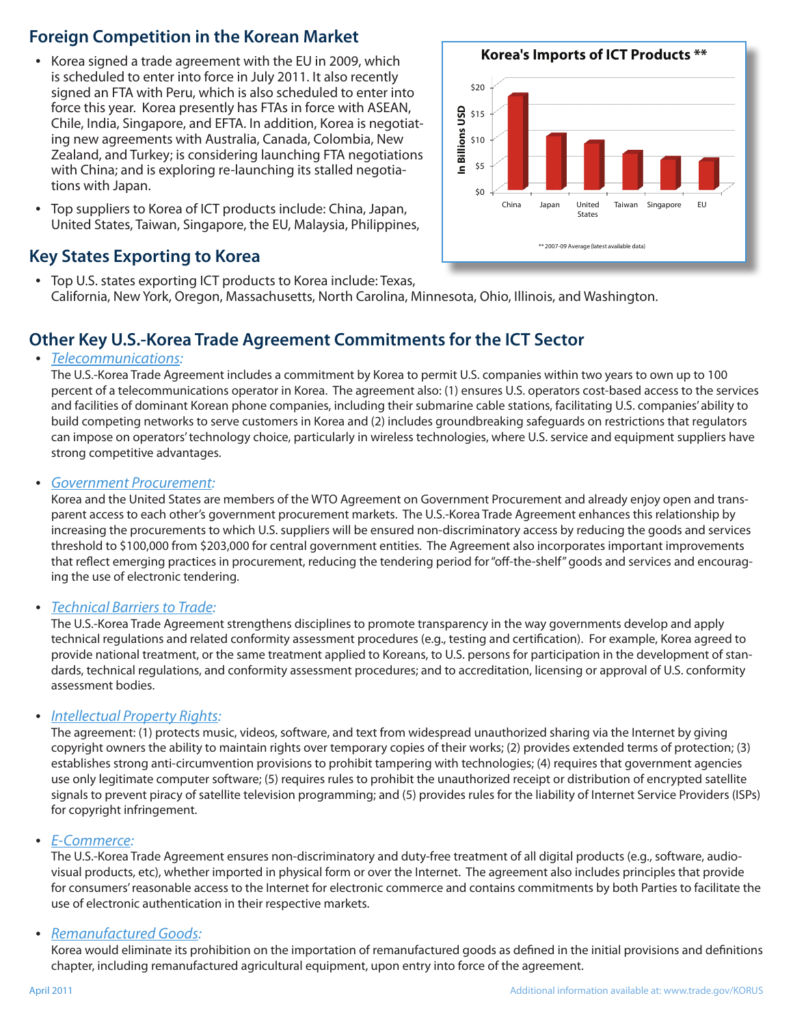# **Foreign Competition in the Korean Market**

- Korea signed a trade agreement with the EU in 2009, which is scheduled to enter into force in July 2011. It also recently signed an FTA with Peru, which is also scheduled to enter into force this year. Korea presently has FTAs in force with ASEAN, Chile, India, Singapore, and EFTA. In addition, Korea is negotiating new agreements with Australia, Canada, Colombia, New Zealand, and Turkey; is considering launching FTA negotiations with China; and is exploring re-launching its stalled negotiations with Japan.
- Top suppliers to Korea of ICT products include: China, Japan, United States, Taiwan, Singapore, the EU, Malaysia, Philippines,

## **Key States Exporting to Korea**

• Top U.S. states exporting ICT products to Korea include: Texas, California, New York, Oregon, Massachusetts, North Carolina, Minnesota, Ohio, Illinois, and Washington.

# **Other Key U.S.-Korea Trade Agreement Commitments for the ICT Sector**

#### • *Telecommunications:*

The U.S.-Korea Trade Agreement includes a commitment by Korea to permit U.S. companies within two years to own up to 100 percent of a telecommunications operator in Korea. The agreement also: (1) ensures U.S. operators cost-based access to the services and facilities of dominant Korean phone companies, including their submarine cable stations, facilitating U.S. companies' ability to build competing networks to serve customers in Korea and (2) includes groundbreaking safeguards on restrictions that regulators can impose on operators' technology choice, particularly in wireless technologies, where U.S. service and equipment suppliers have strong competitive advantages.

#### • *Government Procurement:*

Korea and the United States are members of the WTO Agreement on Government Procurement and already enjoy open and transparent access to each other's government procurement markets. The U.S.-Korea Trade Agreement enhances this relationship by increasing the procurements to which U.S. suppliers will be ensured non-discriminatory access by reducing the goods and services threshold to \$100,000 from \$203,000 for central government entities. The Agreement also incorporates important improvements that reflect emerging practices in procurement, reducing the tendering period for "off-the-shelf" goods and services and encouraging the use of electronic tendering.

#### • *Technical Barriers to Trade:*

The U.S.-Korea Trade Agreement strengthens disciplines to promote transparency in the way governments develop and apply technical regulations and related conformity assessment procedures (e.g., testing and certification). For example, Korea agreed to provide national treatment, or the same treatment applied to Koreans, to U.S. persons for participation in the development of standards, technical regulations, and conformity assessment procedures; and to accreditation, licensing or approval of U.S. conformity assessment bodies.

#### • *Intellectual Property Rights:*

The agreement: (1) protects music, videos, software, and text from widespread unauthorized sharing via the Internet by giving copyright owners the ability to maintain rights over temporary copies of their works; (2) provides extended terms of protection; (3) establishes strong anti-circumvention provisions to prohibit tampering with technologies; (4) requires that government agencies use only legitimate computer software; (5) requires rules to prohibit the unauthorized receipt or distribution of encrypted satellite signals to prevent piracy of satellite television programming; and (5) provides rules for the liability of Internet Service Providers (ISPs) for copyright infringement.

#### • *E-Commerce:*

The U.S.-Korea Trade Agreement ensures non-discriminatory and duty-free treatment of all digital products (e.g., software, audiovisual products, etc), whether imported in physical form or over the Internet. The agreement also includes principles that provide for consumers' reasonable access to the Internet for electronic commerce and contains commitments by both Parties to facilitate the use of electronic authentication in their respective markets.

#### • *Remanufactured Goods:*

Korea would eliminate its prohibition on the importation of remanufactured goods as defined in the initial provisions and definitions chapter, including remanufactured agricultural equipment, upon entry into force of the agreement.